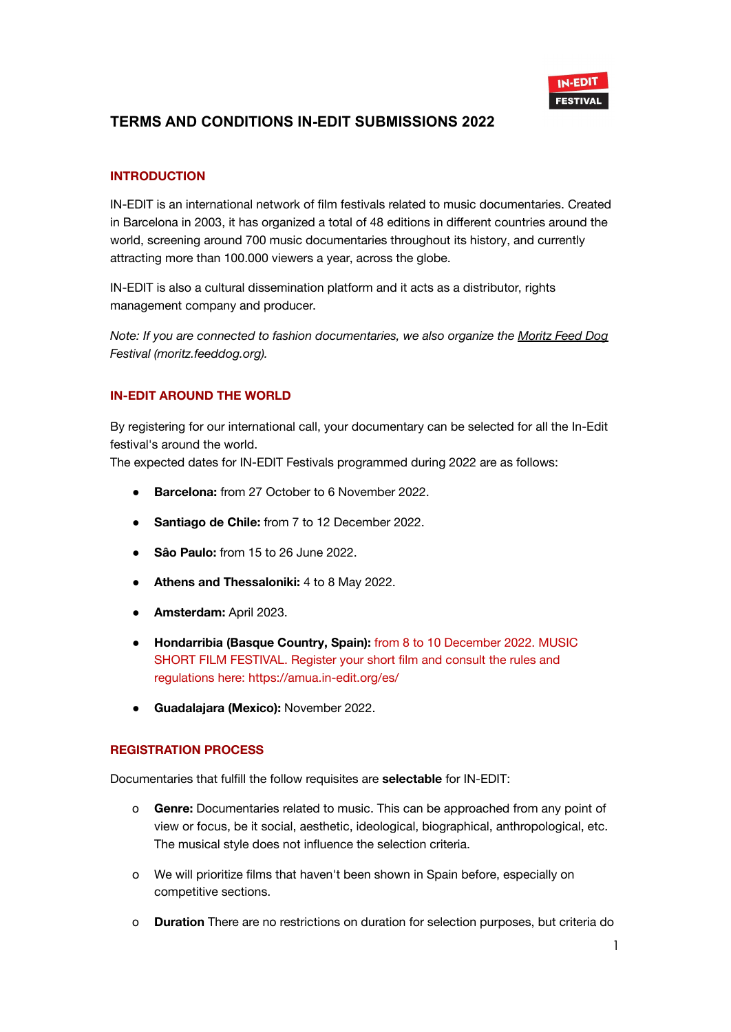

## **INTRODUCTION**

IN-EDIT is an international network of film festivals related to music documentaries. Created in Barcelona in 2003, it has organized a total of 48 editions in different countries around the world, screening around 700 music documentaries throughout its history, and currently attracting more than 100.000 viewers a year, across the globe.

IN-EDIT is also a cultural dissemination platform and it acts as a distributor, rights management company and producer.

*Note: If you are connected to fashion documentaries, we also organize the [Moritz](http://moritz.feeddog.org) Feed Dog Festival (moritz.feeddog.org).*

### **IN-EDIT AROUND THE WORLD**

By registering for our international call, your documentary can be selected for all the In-Edit festival's around the world.

The expected dates for IN-EDIT Festivals programmed during 2022 are as follows:

- **Barcelona:** from 27 October to 6 November 2022.
- **● Santiago de Chile:** from 7 to 12 December 2022.
- **● Sâo Paulo:** from 15 to 26 June 2022.
- **● Athens and Thessaloniki:** 4 to 8 May 2022.
- **● Amsterdam:** April 2023.
- **● Hondarribia (Basque Country, Spain):** from 8 to 10 December 2022. MUSIC SHORT FILM FESTIVAL. Register your short film and consult the rules and regulations here: https://amua.in-edit.org/es/
- **● Guadalajara (Mexico):** November 2022.

#### **REGISTRATION PROCESS**

Documentaries that fulfill the follow requisites are **selectable** for IN-EDIT:

- o **Genre:** Documentaries related to music. This can be approached from any point of view or focus, be it social, aesthetic, ideological, biographical, anthropological, etc. The musical style does not influence the selection criteria.
- o We will prioritize films that haven't been shown in Spain before, especially on competitive sections.
- o **Duration** There are no restrictions on duration for selection purposes, but criteria do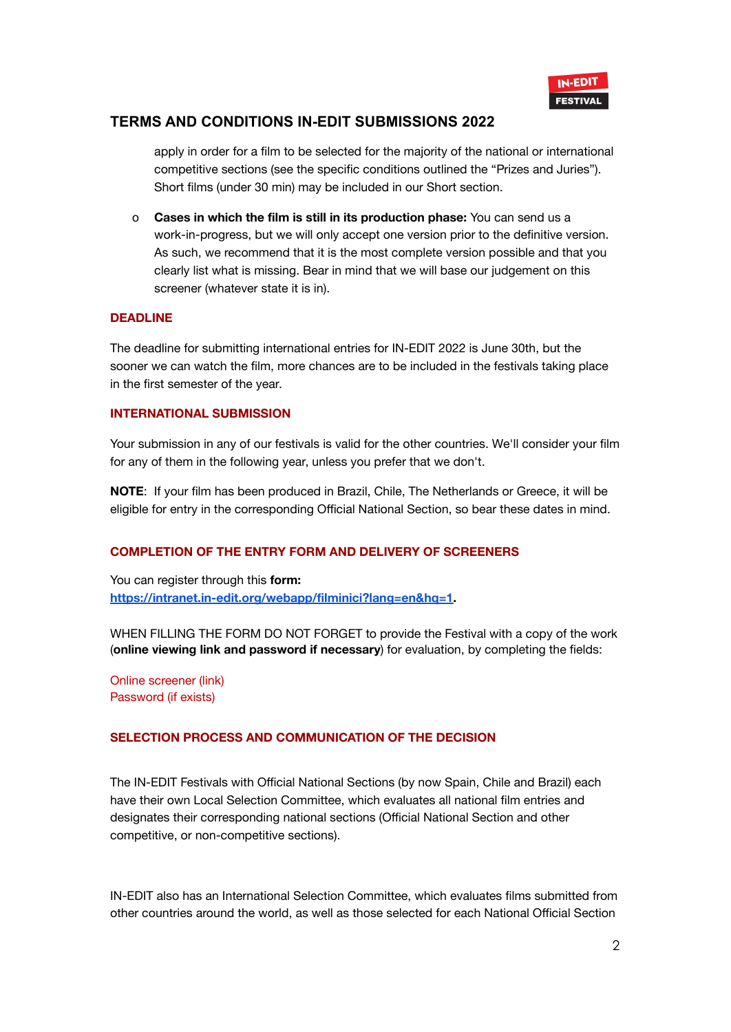

apply in order for a film to be selected for the majority of the national or international competitive sections (see the specific conditions outlined the "Prizes and Juries"). Short films (under 30 min) may be included in our Short section.

o **Cases in which the film is still in its production phase:** You can send us a work-in-progress, but we will only accept one version prior to the definitive version. As such, we recommend that it is the most complete version possible and that you clearly list what is missing. Bear in mind that we will base our judgement on this screener (whatever state it is in).

#### **DEADLINE**

The deadline for submitting international entries for IN-EDIT 2022 is June 30th, but the sooner we can watch the film, more chances are to be included in the festivals taking place in the first semester of the year.

#### **INTERNATIONAL SUBMISSION**

Your submission in any of our festivals is valid for the other countries. We'll consider your film for any of them in the following year, unless you prefer that we don't.

**NOTE**: If your film has been produced in Brazil, Chile, The Netherlands or Greece, it will be eligible for entry in the corresponding Official National Section, so bear these dates in mind.

#### **COMPLETION OF THE ENTRY FORM AND DELIVERY OF SCREENERS**

You can register through this **form: [https://intranet.in-edit.org/webapp/filminici?lang=en&hq=1.](https://intranet.in-edit.org/webapp/filminici?lang=en&hq=1)**

WHEN FILLING THE FORM DO NOT FORGET to provide the Festival with a copy of the work (**online viewing link and password if necessary**) for evaluation, by completing the fields:

Online screener (link) Password (if exists[\)](mailto:films@in-edit.org)

#### **SELECTION PROCESS AND COMMUNICATION OF THE DECISION**

The IN-EDIT Festivals with Official National Sections (by now Spain, Chile and Brazil) each have their own Local Selection Committee, which evaluates all national film entries and designates their corresponding national sections (Official National Section and other competitive, or non-competitive sections).

IN-EDIT also has an International Selection Committee, which evaluates films submitted from other countries around the world, as well as those selected for each National Official Section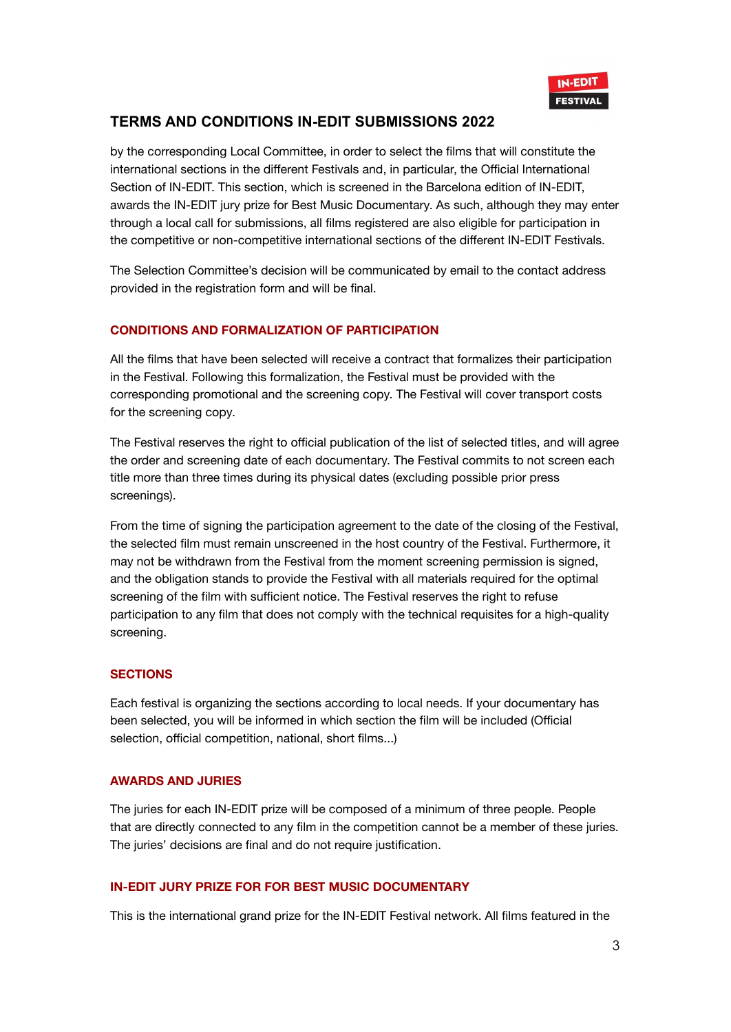

by the corresponding Local Committee, in order to select the films that will constitute the international sections in the different Festivals and, in particular, the Official International Section of IN-EDIT. This section, which is screened in the Barcelona edition of IN-EDIT, awards the IN-EDIT jury prize for Best Music Documentary. As such, although they may enter through a local call for submissions, all films registered are also eligible for participation in the competitive or non-competitive international sections of the different IN-EDIT Festivals.

The Selection Committee's decision will be communicated by email to the contact address provided in the registration form and will be final.

### **CONDITIONS AND FORMALIZATION OF PARTICIPATION**

All the films that have been selected will receive a contract that formalizes their participation in the Festival. Following this formalization, the Festival must be provided with the corresponding promotional and the screening copy. The Festival will cover transport costs for the screening copy.

The Festival reserves the right to official publication of the list of selected titles, and will agree the order and screening date of each documentary. The Festival commits to not screen each title more than three times during its physical dates (excluding possible prior press screenings).

From the time of signing the participation agreement to the date of the closing of the Festival, the selected film must remain unscreened in the host country of the Festival. Furthermore, it may not be withdrawn from the Festival from the moment screening permission is signed, and the obligation stands to provide the Festival with all materials required for the optimal screening of the film with sufficient notice. The Festival reserves the right to refuse participation to any film that does not comply with the technical requisites for a high-quality screening.

#### **SECTIONS**

Each festival is organizing the sections according to local needs. If your documentary has been selected, you will be informed in which section the film will be included (Official selection, official competition, national, short films...)

#### **AWARDS AND JURIES**

The juries for each IN-EDIT prize will be composed of a minimum of three people. People that are directly connected to any film in the competition cannot be a member of these juries. The juries' decisions are final and do not require justification.

#### **IN-EDIT JURY PRIZE FOR FOR BEST MUSIC DOCUMENTARY**

This is the international grand prize for the IN-EDIT Festival network. All films featured in the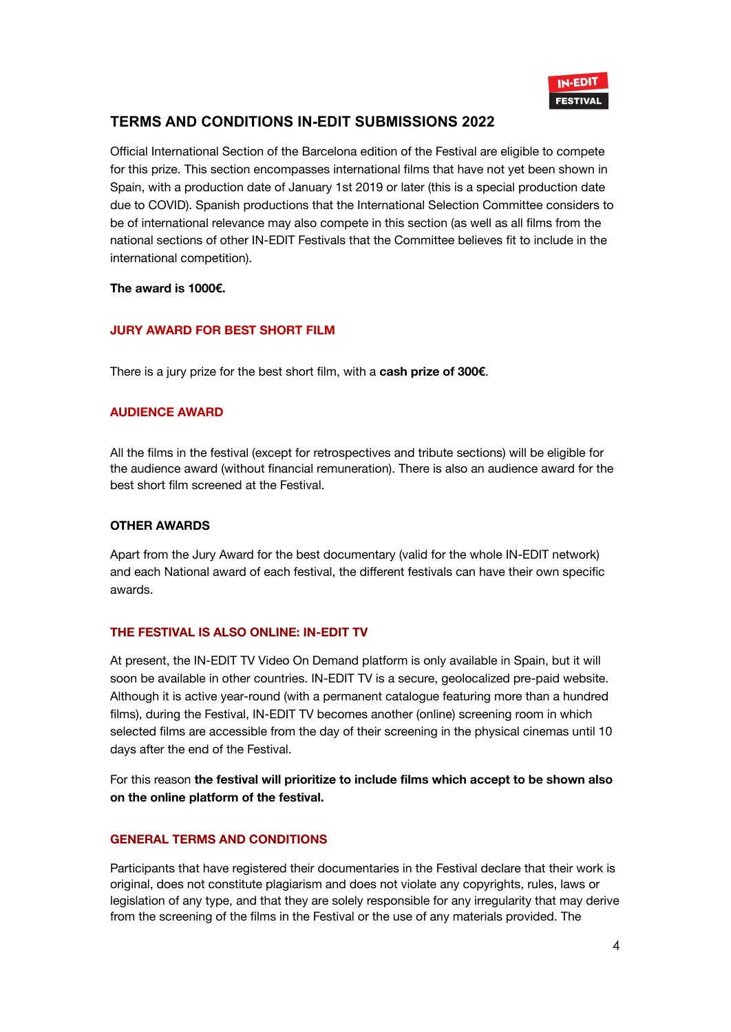

Official International Section of the Barcelona edition of the Festival are eligible to compete for this prize. This section encompasses international films that have not yet been shown in Spain, with a production date of January 1st 2019 or later (this is a special production date due to COVID). Spanish productions that the International Selection Committee considers to be of international relevance may also compete in this section (as well as all films from the national sections of other IN-EDIT Festivals that the Committee believes fit to include in the international competition).

#### **The award is 1000€.**

## **JURY AWARD FOR BEST SHORT FILM**

There is a jury prize for the best short film, with a **cash prize of 300€**.

### **AUDIENCE AWARD**

All the films in the festival (except for retrospectives and tribute sections) will be eligible for the audience award (without financial remuneration). There is also an audience award for the best short film screened at the Festival.

#### **OTHER AWARDS**

Apart from the Jury Award for the best documentary (valid for the whole IN-EDIT network) and each National award of each festival, the different festivals can have their own specific awards.

## **THE FESTIVAL IS ALSO ONLINE: IN-EDIT TV**

At present, the IN-EDIT TV Video On Demand platform is only available in Spain, but it will soon be available in other countries. IN-EDIT TV is a secure, geolocalized pre-paid website. Although it is active year-round (with a permanent catalogue featuring more than a hundred films), during the Festival, IN-EDIT TV becomes another (online) screening room in which selected films are accessible from the day of their screening in the physical cinemas until 10 days after the end of the Festival.

For this reason **the festival will prioritize to include films which accept to be shown also on the online platform of the festival.**

## **GENERAL TERMS AND CONDITIONS**

Participants that have registered their documentaries in the Festival declare that their work is original, does not constitute plagiarism and does not violate any copyrights, rules, laws or legislation of any type, and that they are solely responsible for any irregularity that may derive from the screening of the films in the Festival or the use of any materials provided. The